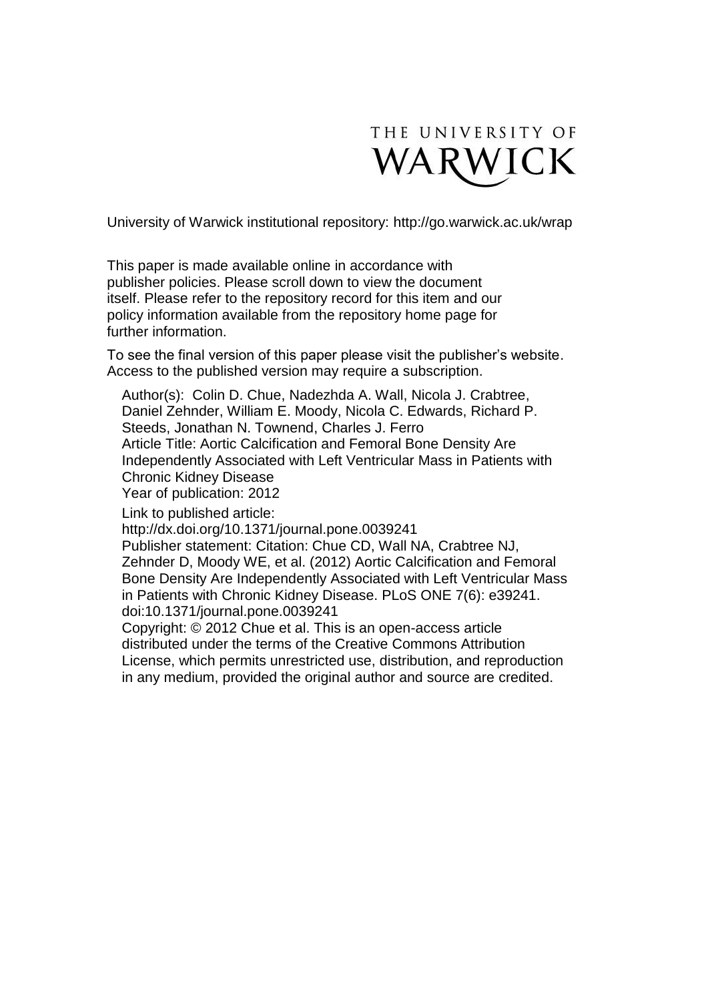

University of Warwick institutional repository:<http://go.warwick.ac.uk/wrap>

This paper is made available online in accordance with publisher policies. Please scroll down to view the document itself. Please refer to the repository record for this item and our policy information available from the repository home page for further information.

To see the final version of this paper please visit the publisher's website. Access to the published version may require a subscription.

Author(s): Colin D. Chue, Nadezhda A. Wall, Nicola J. Crabtree, Daniel Zehnder, William E. Moody, Nicola C. Edwards, Richard P. Steeds, Jonathan N. Townend, Charles J. Ferro Article Title: Aortic Calcification and Femoral Bone Density Are Independently Associated with Left Ventricular Mass in Patients with Chronic Kidney Disease Year of publication: 2012

Link to published article:

http://dx.doi.org/10.1371/journal.pone.0039241

Publisher statement: Citation: Chue CD, Wall NA, Crabtree NJ, Zehnder D, Moody WE, et al. (2012) Aortic Calcification and Femoral Bone Density Are Independently Associated with Left Ventricular Mass in Patients with Chronic Kidney Disease. PLoS ONE 7(6): e39241. doi:10.1371/journal.pone.0039241

Copyright: © 2012 Chue et al. This is an open-access article distributed under the terms of the Creative Commons Attribution License, which permits unrestricted use, distribution, and reproduction in any medium, provided the original author and source are credited.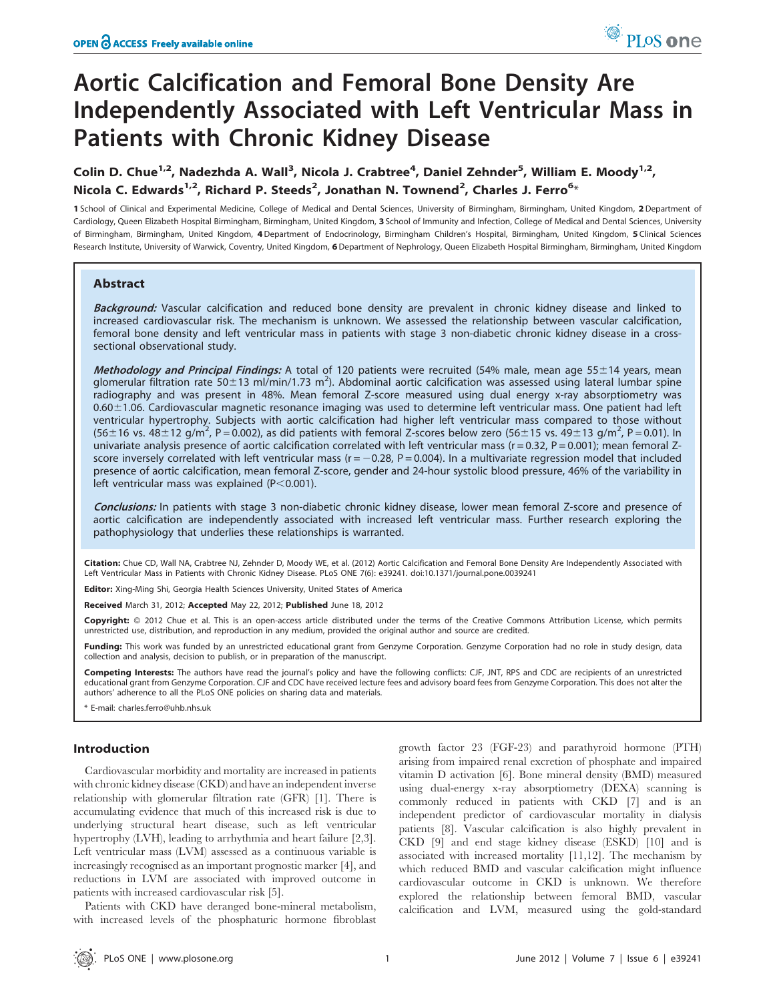# Aortic Calcification and Femoral Bone Density Are Independently Associated with Left Ventricular Mass in Patients with Chronic Kidney Disease

Colin D. Chue<sup>1,2</sup>, Nadezhda A. Wall<sup>3</sup>, Nicola J. Crabtree<sup>4</sup>, Daniel Zehnder<sup>5</sup>, William E. Moody<sup>1,2</sup>, Nicola C. Edwards<sup>1,2</sup>, Richard P. Steeds<sup>2</sup>, Jonathan N. Townend<sup>2</sup>, Charles J. Ferro<sup>6</sup>\*

1 School of Clinical and Experimental Medicine, College of Medical and Dental Sciences, University of Birmingham, Birmingham, United Kingdom, 2 Department of Cardiology, Queen Elizabeth Hospital Birmingham, Birmingham, United Kingdom, 3 School of Immunity and Infection, College of Medical and Dental Sciences, University of Birmingham, Birmingham, United Kingdom, 4 Department of Endocrinology, Birmingham Children's Hospital, Birmingham, United Kingdom, 5 Clinical Sciences Research Institute, University of Warwick, Coventry, United Kingdom, 6 Department of Nephrology, Queen Elizabeth Hospital Birmingham, Birmingham, United Kingdom

## Abstract

Background: Vascular calcification and reduced bone density are prevalent in chronic kidney disease and linked to increased cardiovascular risk. The mechanism is unknown. We assessed the relationship between vascular calcification, femoral bone density and left ventricular mass in patients with stage 3 non-diabetic chronic kidney disease in a crosssectional observational study.

Methodology and Principal Findings: A total of 120 patients were recruited (54% male, mean age 55±14 years, mean glomerular filtration rate 50 $\pm$ 13 ml/min/1.73 m<sup>2</sup>). Abdominal aortic calcification was assessed using lateral lumbar spine radiography and was present in 48%. Mean femoral Z-score measured using dual energy x-ray absorptiometry was 0.60±1.06. Cardiovascular magnetic resonance imaging was used to determine left ventricular mass. One patient had left ventricular hypertrophy. Subjects with aortic calcification had higher left ventricular mass compared to those without  $(56\pm16 \text{ vs. } 48\pm12 \text{ g/m}^2, P=0.002)$ , as did patients with femoral Z-scores below zero  $(56\pm15 \text{ vs. } 49\pm13 \text{ g/m}^2, P=0.01)$ . In univariate analysis presence of aortic calcification correlated with left ventricular mass ( $r = 0.32$ ,  $P = 0.001$ ); mean femoral Zscore inversely correlated with left ventricular mass ( $r = -0.28$ ,  $P = 0.004$ ). In a multivariate regression model that included presence of aortic calcification, mean femoral Z-score, gender and 24-hour systolic blood pressure, 46% of the variability in left ventricular mass was explained ( $P < 0.001$ ).

Conclusions: In patients with stage 3 non-diabetic chronic kidney disease, lower mean femoral Z-score and presence of aortic calcification are independently associated with increased left ventricular mass. Further research exploring the pathophysiology that underlies these relationships is warranted.

Citation: Chue CD, Wall NA, Crabtree NJ, Zehnder D, Moody WE, et al. (2012) Aortic Calcification and Femoral Bone Density Are Independently Associated with Left Ventricular Mass in Patients with Chronic Kidney Disease. PLoS ONE 7(6): e39241. doi:10.1371/journal.pone.0039241

Editor: Xing-Ming Shi, Georgia Health Sciences University, United States of America

Received March 31, 2012; Accepted May 22, 2012; Published June 18, 2012

Copyright: @ 2012 Chue et al. This is an open-access article distributed under the terms of the Creative Commons Attribution License, which permits unrestricted use, distribution, and reproduction in any medium, provided the original author and source are credited.

Funding: This work was funded by an unrestricted educational grant from Genzyme Corporation. Genzyme Corporation had no role in study design, data collection and analysis, decision to publish, or in preparation of the manuscript.

Competing Interests: The authors have read the journal's policy and have the following conflicts: CJF, JNT, RPS and CDC are recipients of an unrestricted educational grant from Genzyme Corporation. CJF and CDC have received lecture fees and advisory board fees from Genzyme Corporation. This does not alter the authors' adherence to all the PLoS ONE policies on sharing data and materials.

E-mail: charles.ferro@uhb.nhs.uk

## Introduction

Cardiovascular morbidity and mortality are increased in patients with chronic kidney disease (CKD) and have an independent inverse relationship with glomerular filtration rate (GFR) [1]. There is accumulating evidence that much of this increased risk is due to underlying structural heart disease, such as left ventricular hypertrophy (LVH), leading to arrhythmia and heart failure [2,3]. Left ventricular mass (LVM) assessed as a continuous variable is increasingly recognised as an important prognostic marker [4], and reductions in LVM are associated with improved outcome in patients with increased cardiovascular risk [5].

Patients with CKD have deranged bone-mineral metabolism, with increased levels of the phosphaturic hormone fibroblast

growth factor 23 (FGF-23) and parathyroid hormone (PTH) arising from impaired renal excretion of phosphate and impaired vitamin D activation [6]. Bone mineral density (BMD) measured using dual-energy x-ray absorptiometry (DEXA) scanning is commonly reduced in patients with CKD [7] and is an independent predictor of cardiovascular mortality in dialysis patients [8]. Vascular calcification is also highly prevalent in CKD [9] and end stage kidney disease (ESKD) [10] and is associated with increased mortality [11,12]. The mechanism by which reduced BMD and vascular calcification might influence cardiovascular outcome in CKD is unknown. We therefore explored the relationship between femoral BMD, vascular calcification and LVM, measured using the gold-standard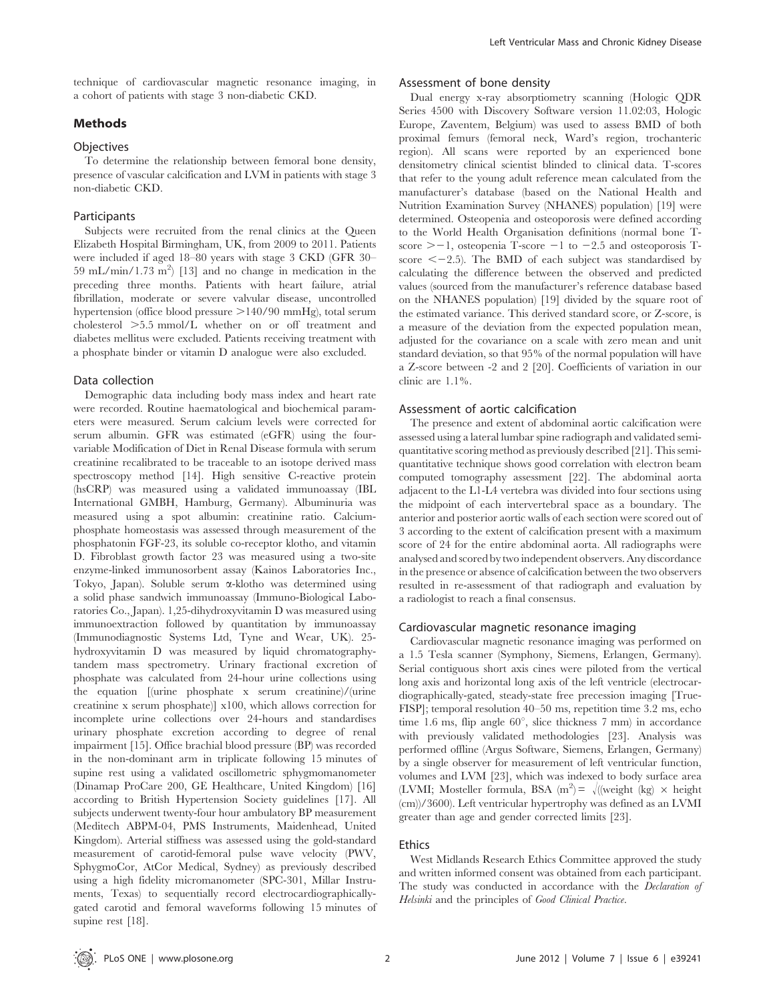technique of cardiovascular magnetic resonance imaging, in a cohort of patients with stage 3 non-diabetic CKD.

# Methods

## **Objectives**

To determine the relationship between femoral bone density, presence of vascular calcification and LVM in patients with stage 3 non-diabetic CKD.

#### **Participants**

Subjects were recruited from the renal clinics at the Queen Elizabeth Hospital Birmingham, UK, from 2009 to 2011. Patients were included if aged 18–80 years with stage 3 CKD (GFR 30– 59 mL/min/1.73 m<sup>2</sup>) [13] and no change in medication in the preceding three months. Patients with heart failure, atrial fibrillation, moderate or severe valvular disease, uncontrolled hypertension (office blood pressure  $>140/90$  mmHg), total serum cholesterol .5.5 mmol/L whether on or off treatment and diabetes mellitus were excluded. Patients receiving treatment with a phosphate binder or vitamin D analogue were also excluded.

#### Data collection

Demographic data including body mass index and heart rate were recorded. Routine haematological and biochemical parameters were measured. Serum calcium levels were corrected for serum albumin. GFR was estimated (eGFR) using the fourvariable Modification of Diet in Renal Disease formula with serum creatinine recalibrated to be traceable to an isotope derived mass spectroscopy method [14]. High sensitive C-reactive protein (hsCRP) was measured using a validated immunoassay (IBL International GMBH, Hamburg, Germany). Albuminuria was measured using a spot albumin: creatinine ratio. Calciumphosphate homeostasis was assessed through measurement of the phosphatonin FGF-23, its soluble co-receptor klotho, and vitamin D. Fibroblast growth factor 23 was measured using a two-site enzyme-linked immunosorbent assay (Kainos Laboratories Inc., Tokyo, Japan). Soluble serum a-klotho was determined using a solid phase sandwich immunoassay (Immuno-Biological Laboratories Co., Japan). 1,25-dihydroxyvitamin D was measured using immunoextraction followed by quantitation by immunoassay (Immunodiagnostic Systems Ltd, Tyne and Wear, UK). 25 hydroxyvitamin D was measured by liquid chromatographytandem mass spectrometry. Urinary fractional excretion of phosphate was calculated from 24-hour urine collections using the equation [(urine phosphate x serum creatinine)/(urine creatinine x serum phosphate)] x100, which allows correction for incomplete urine collections over 24-hours and standardises urinary phosphate excretion according to degree of renal impairment [15]. Office brachial blood pressure (BP) was recorded in the non-dominant arm in triplicate following 15 minutes of supine rest using a validated oscillometric sphygmomanometer (Dinamap ProCare 200, GE Healthcare, United Kingdom) [16] according to British Hypertension Society guidelines [17]. All subjects underwent twenty-four hour ambulatory BP measurement (Meditech ABPM-04, PMS Instruments, Maidenhead, United Kingdom). Arterial stiffness was assessed using the gold-standard measurement of carotid-femoral pulse wave velocity (PWV, SphygmoCor, AtCor Medical, Sydney) as previously described using a high fidelity micromanometer (SPC-301, Millar Instruments, Texas) to sequentially record electrocardiographicallygated carotid and femoral waveforms following 15 minutes of supine rest [18].

## Assessment of bone density

Dual energy x-ray absorptiometry scanning (Hologic QDR Series 4500 with Discovery Software version 11.02:03, Hologic Europe, Zaventem, Belgium) was used to assess BMD of both proximal femurs (femoral neck, Ward's region, trochanteric region). All scans were reported by an experienced bone densitometry clinical scientist blinded to clinical data. T-scores that refer to the young adult reference mean calculated from the manufacturer's database (based on the National Health and Nutrition Examination Survey (NHANES) population) [19] were determined. Osteopenia and osteoporosis were defined according to the World Health Organisation definitions (normal bone Tscore  $\geq -1$ , osteopenia T-score  $-1$  to  $-2.5$  and osteoporosis Tscore  $\leq$  -2.5). The BMD of each subject was standardised by calculating the difference between the observed and predicted values (sourced from the manufacturer's reference database based on the NHANES population) [19] divided by the square root of the estimated variance. This derived standard score, or Z-score, is a measure of the deviation from the expected population mean, adjusted for the covariance on a scale with zero mean and unit standard deviation, so that 95% of the normal population will have a Z-score between -2 and 2 [20]. Coefficients of variation in our clinic are 1.1%.

#### Assessment of aortic calcification

The presence and extent of abdominal aortic calcification were assessed using a lateral lumbar spine radiograph and validated semiquantitative scoring method as previously described [21]. This semiquantitative technique shows good correlation with electron beam computed tomography assessment [22]. The abdominal aorta adjacent to the L1-L4 vertebra was divided into four sections using the midpoint of each intervertebral space as a boundary. The anterior and posterior aortic walls of each section were scored out of 3 according to the extent of calcification present with a maximum score of 24 for the entire abdominal aorta. All radiographs were analysed and scored by two independent observers. Any discordance in the presence or absence of calcification between the two observers resulted in re-assessment of that radiograph and evaluation by a radiologist to reach a final consensus.

## Cardiovascular magnetic resonance imaging

Cardiovascular magnetic resonance imaging was performed on a 1.5 Tesla scanner (Symphony, Siemens, Erlangen, Germany). Serial contiguous short axis cines were piloted from the vertical long axis and horizontal long axis of the left ventricle (electrocardiographically-gated, steady-state free precession imaging [True-FISP]; temporal resolution 40–50 ms, repetition time 3.2 ms, echo time 1.6 ms, flip angle 60<sup>°</sup>, slice thickness 7 mm) in accordance with previously validated methodologies [23]. Analysis was performed offline (Argus Software, Siemens, Erlangen, Germany) by a single observer for measurement of left ventricular function, volumes and LVM [23], which was indexed to body surface area (LVMI; Mosteller formula, BSA (m<sup>2</sup>) =  $\sqrt{ }$  ((weight (kg)  $\times$  height (cm))/3600). Left ventricular hypertrophy was defined as an LVMI greater than age and gender corrected limits [23].

#### Ethics

West Midlands Research Ethics Committee approved the study and written informed consent was obtained from each participant. The study was conducted in accordance with the *Declaration of* Helsinki and the principles of Good Clinical Practice.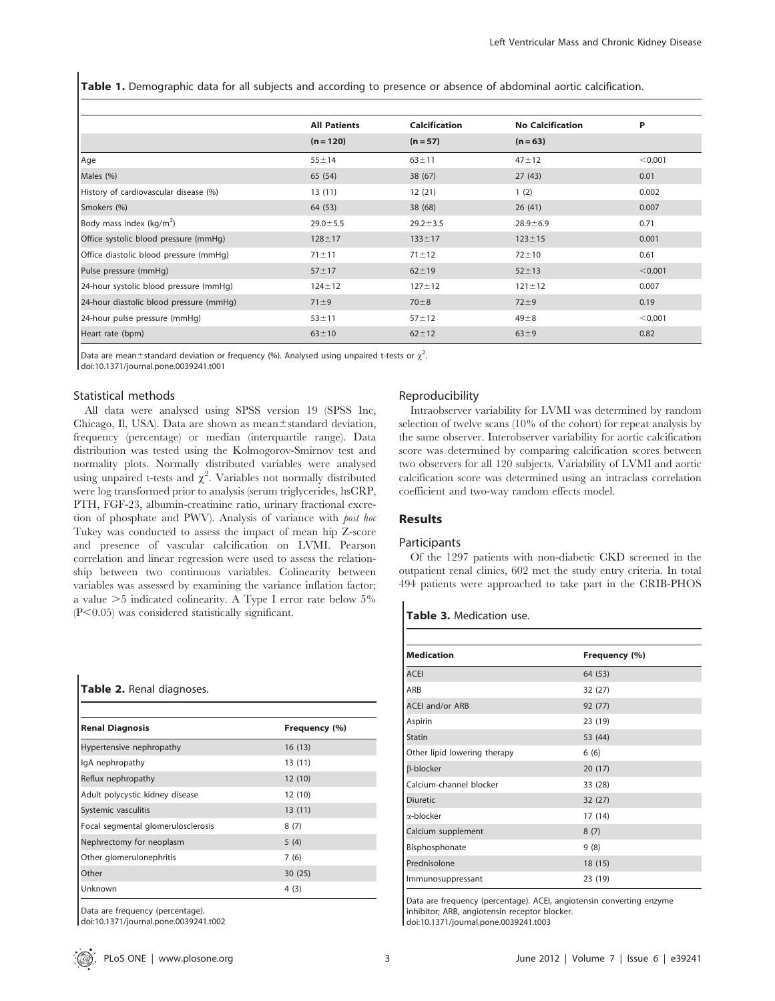Table 1. Demographic data for all subjects and according to presence or absence of abdominal aortic calcification.

|                                         | <b>All Patients</b> | <b>Calcification</b> | <b>No Calcification</b> | P       |
|-----------------------------------------|---------------------|----------------------|-------------------------|---------|
|                                         | $(n = 120)$         | $(n=57)$             | $(n = 63)$              |         |
| Age                                     | $55 + 14$           | $63 + 11$            | $47 + 12$               | < 0.001 |
| Males (%)                               | 65 (54)             | 38(67)               | 27(43)                  | 0.01    |
| History of cardiovascular disease (%)   | 13(11)              | 12(21)               | 1(2)                    | 0.002   |
| Smokers (%)                             | 64 (53)             | 38 (68)              | 26(41)                  | 0.007   |
| Body mass index (kg/m <sup>2</sup> )    | $29.0 \pm 5.5$      | $29.2 \pm 3.5$       | $28.9 + 6.9$            | 0.71    |
| Office systolic blood pressure (mmHg)   | $128 + 17$          | $133 \pm 17$         | $123 \pm 15$            | 0.001   |
| Office diastolic blood pressure (mmHq)  | $71 \pm 11$         | $71 \pm 12$          | $72 + 10$               | 0.61    |
| Pulse pressure (mmHg)                   | $57 + 17$           | $62 + 19$            | $52 + 13$               | < 0.001 |
| 24-hour systolic blood pressure (mmHg)  | $124 \pm 12$        | $127 + 12$           | $121 \pm 12$            | 0.007   |
| 24-hour diastolic blood pressure (mmHg) | $71 \pm 9$          | $70 + 8$             | $72 + 9$                | 0.19    |
| 24-hour pulse pressure (mmHg)           | $53 + 11$           | $57 + 12$            | $49\pm8$                | < 0.001 |
| Heart rate (bpm)                        | $63 + 10$           | $62 \pm 12$          | $63\pm9$                | 0.82    |

Data are mean $\pm$ standard deviation or frequency (%). Analysed using unpaired t-tests or  $\chi^2$ .

doi:10.1371/journal.pone.0039241.t001

## Statistical methods

All data were analysed using SPSS version 19 (SPSS Inc, Chicago, Il, USA). Data are shown as mean $\pm$ standard deviation, frequency (percentage) or median (interquartile range). Data distribution was tested using the Kolmogorov-Smirnov test and normality plots. Normally distributed variables were analysed using unpaired t-tests and  $\chi^2$ . Variables not normally distributed were log transformed prior to analysis (serum triglycerides, hsCRP, PTH, FGF-23, albumin-creatinine ratio, urinary fractional excretion of phosphate and PWV). Analysis of variance with post hoc Tukey was conducted to assess the impact of mean hip Z-score and presence of vascular calcification on LVMI. Pearson correlation and linear regression were used to assess the relationship between two continuous variables. Colinearity between variables was assessed by examining the variance inflation factor; a value  $>5$  indicated colinearity. A Type I error rate below  $5\%$  $(P<0.05)$  was considered statistically significant.

# Table 2. Renal diagnoses.

| <b>Renal Diagnosis</b>             | Frequency (%) |
|------------------------------------|---------------|
| Hypertensive nephropathy           | 16(13)        |
| IgA nephropathy                    | 13(11)        |
| Reflux nephropathy                 | 12(10)        |
| Adult polycystic kidney disease    | 12 (10)       |
| Systemic vasculitis                | 13(11)        |
| Focal segmental glomerulosclerosis | 8(7)          |
| Nephrectomy for neoplasm           | 5(4)          |
| Other glomerulonephritis           | 7(6)          |
| Other                              | 30(25)        |
| Unknown                            | 4 (3)         |

Data are frequency (percentage).

doi:10.1371/journal.pone.0039241.t002

#### Reproducibility

Intraobserver variability for LVMI was determined by random selection of twelve scans (10% of the cohort) for repeat analysis by the same observer. Interobserver variability for aortic calcification score was determined by comparing calcification scores between two observers for all 120 subjects. Variability of LVMI and aortic calcification score was determined using an intraclass correlation coefficient and two-way random effects model.

## Results

#### **Participants**

Of the 1297 patients with non-diabetic CKD screened in the outpatient renal clinics, 602 met the study entry criteria. In total 494 patients were approached to take part in the CRIB-PHOS

#### Table 3. Medication use.

| <b>Medication</b>            | Frequency (%) |
|------------------------------|---------------|
| <b>ACEI</b>                  | 64 (53)       |
| ARB                          | 32 (27)       |
| <b>ACEI and/or ARB</b>       | 92 (77)       |
| Aspirin                      | 23 (19)       |
| <b>Statin</b>                | 53 (44)       |
| Other lipid lowering therapy | 6(6)          |
| β-blocker                    | 20(17)        |
| Calcium-channel blocker      | 33 (28)       |
| <b>Diuretic</b>              | 32(27)        |
| $\alpha$ -blocker            | 17 (14)       |
| Calcium supplement           | 8(7)          |
| Bisphosphonate               | 9(8)          |
| Prednisolone                 | 18 (15)       |
| Immunosuppressant            | 23 (19)       |

Data are frequency (percentage). ACEI, angiotensin converting enzyme inhibitor; ARB, angiotensin receptor blocker.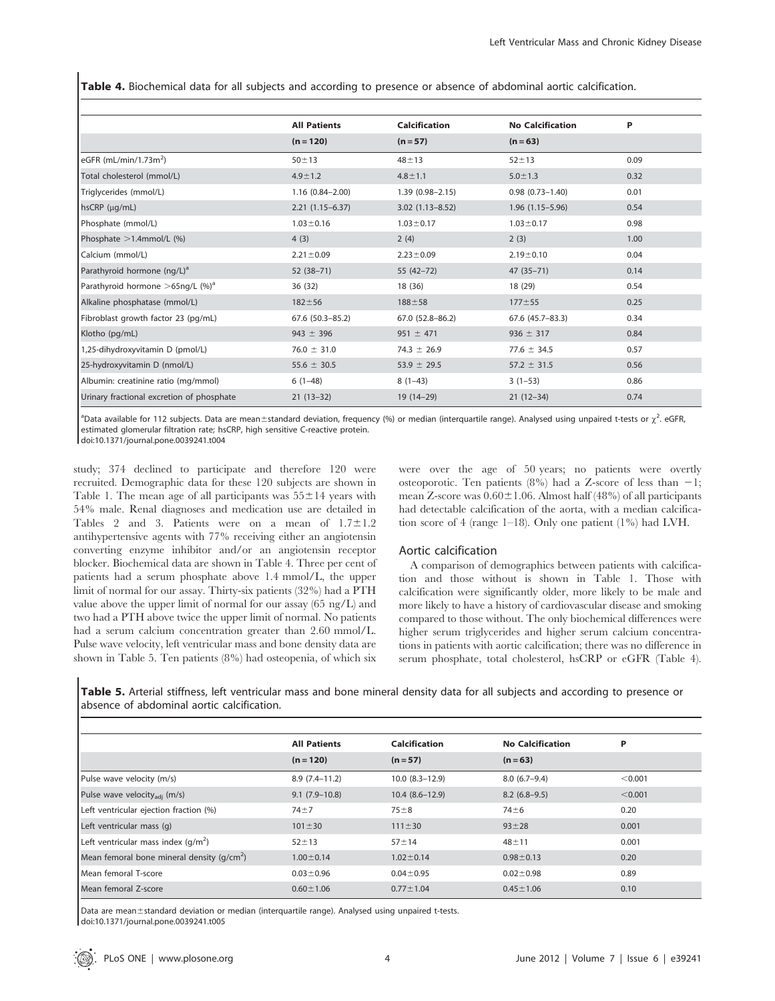Table 4. Biochemical data for all subjects and according to presence or absence of abdominal aortic calcification.

|                                                 | <b>All Patients</b>    | <b>Calcification</b> | <b>No Calcification</b> | P    |  |
|-------------------------------------------------|------------------------|----------------------|-------------------------|------|--|
|                                                 | $(n = 120)$            | $(n = 57)$           | $(n = 63)$              |      |  |
| eGFR (mL/min/1.73 $m2$ )                        | $50 + 13$              | $48 + 13$            | $52 + 13$               | 0.09 |  |
| Total cholesterol (mmol/L)                      | $4.9 \pm 1.2$          | $4.8 \pm 1.1$        | $5.0 \pm 1.3$           | 0.32 |  |
| Triglycerides (mmol/L)                          | $1.16(0.84 - 2.00)$    | $1.39(0.98 - 2.15)$  | $0.98(0.73 - 1.40)$     | 0.01 |  |
| $hscRP$ ( $\mu$ g/mL)                           | $2.21(1.15-6.37)$      | $3.02(1.13 - 8.52)$  | $1.96(1.15 - 5.96)$     | 0.54 |  |
| Phosphate (mmol/L)                              | $1.03 \pm 0.16$        | $1.03 \pm 0.17$      | $1.03 \pm 0.17$         | 0.98 |  |
| Phosphate $>1.4$ mmol/L (%)                     | 4(3)                   | 2(4)                 | 2(3)                    | 1.00 |  |
| Calcium (mmol/L)                                | $2.21 \pm 0.09$        | $2.23 \pm 0.09$      | $2.19 \pm 0.10$         | 0.04 |  |
| Parathyroid hormone (ng/L) <sup>a</sup>         | $52(38-71)$            | $55(42-72)$          | $47(35 - 71)$           | 0.14 |  |
| Parathyroid hormone $>65$ ng/L (%) <sup>a</sup> | 36(32)                 | 18 (36)              | 18 (29)                 | 0.54 |  |
| Alkaline phosphatase (mmol/L)                   | $182 + 56$             | $188 + 58$           | $177 + 55$              | 0.25 |  |
| Fibroblast growth factor 23 (pg/mL)             | $67.6$ $(50.3 - 85.2)$ | 67.0 (52.8-86.2)     | 67.6 (45.7-83.3)        | 0.34 |  |
| Klotho (pg/mL)                                  | $943 \pm 396$          | $951 \pm 471$        | $936 \pm 317$           | 0.84 |  |
| 1,25-dihydroxyvitamin D (pmol/L)                | $76.0 \pm 31.0$        | $74.3 \pm 26.9$      | 77.6 $\pm$ 34.5         | 0.57 |  |
| 25-hydroxyvitamin D (nmol/L)                    | 55.6 $\pm$ 30.5        | 53.9 $\pm$ 29.5      | $57.2 \pm 31.5$         | 0.56 |  |
| Albumin: creatinine ratio (mg/mmol)             | $6(1-48)$              | $8(1-43)$            | $3(1-53)$               | 0.86 |  |
| Urinary fractional excretion of phosphate       | $21(13-32)$            | 19 (14-29)           | $21(12-34)$             | 0.74 |  |

<sup>a</sup>Data available for 112 subjects. Data are mean±standard deviation, frequency (%) or median (interquartile range). Analysed using unpaired t-tests or  $\chi^2$ . eGFR, estimated glomerular filtration rate; hsCRP, high sensitive C-reactive protein.

doi:10.1371/journal.pone.0039241.t004

study; 374 declined to participate and therefore 120 were recruited. Demographic data for these 120 subjects are shown in Table 1. The mean age of all participants was  $55\pm14$  years with 54% male. Renal diagnoses and medication use are detailed in Tables 2 and 3. Patients were on a mean of  $1.7 \pm 1.2$ antihypertensive agents with 77% receiving either an angiotensin converting enzyme inhibitor and/or an angiotensin receptor blocker. Biochemical data are shown in Table 4. Three per cent of patients had a serum phosphate above 1.4 mmol/L, the upper limit of normal for our assay. Thirty-six patients (32%) had a PTH value above the upper limit of normal for our assay (65 ng/L) and two had a PTH above twice the upper limit of normal. No patients had a serum calcium concentration greater than 2.60 mmol/L. Pulse wave velocity, left ventricular mass and bone density data are shown in Table 5. Ten patients (8%) had osteopenia, of which six were over the age of 50 years; no patients were overtly osteoporotic. Ten patients (8%) had a Z-score of less than  $-1$ ; mean Z-score was  $0.60 \pm 1.06$ . Almost half (48%) of all participants had detectable calcification of the aorta, with a median calcification score of 4 (range 1–18). Only one patient (1%) had LVH.

## Aortic calcification

A comparison of demographics between patients with calcification and those without is shown in Table 1. Those with calcification were significantly older, more likely to be male and more likely to have a history of cardiovascular disease and smoking compared to those without. The only biochemical differences were higher serum triglycerides and higher serum calcium concentrations in patients with aortic calcification; there was no difference in serum phosphate, total cholesterol, hsCRP or eGFR (Table 4).

Table 5. Arterial stiffness, left ventricular mass and bone mineral density data for all subjects and according to presence or absence of abdominal aortic calcification.

|                                             | <b>All Patients</b> | Calcification       | <b>No Calcification</b> | P       |
|---------------------------------------------|---------------------|---------------------|-------------------------|---------|
|                                             | $(n = 120)$         | $(n = 57)$          | $(n = 63)$              |         |
| Pulse wave velocity (m/s)                   | $8.9(7.4-11.2)$     | $10.0 (8.3 - 12.9)$ | $8.0(6.7-9.4)$          | < 0.001 |
| Pulse wave velocity <sub>adi</sub> (m/s)    | $9.1(7.9-10.8)$     | $10.4(8.6-12.9)$    | $8.2(6.8-9.5)$          | < 0.001 |
| Left ventricular ejection fraction (%)      | $74 + 7$            | $75 + 8$            | $74 + 6$                | 0.20    |
| Left ventricular mass (q)                   | $101 \pm 30$        | $111 \pm 30$        | $93 + 28$               | 0.001   |
| Left ventricular mass index $(q/m^2)$       | $52 + 13$           | $57 + 14$           | $48 + 11$               | 0.001   |
| Mean femoral bone mineral density $(q/cm2)$ | $1.00 \pm 0.14$     | $1.02 \pm 0.14$     | $0.98 \pm 0.13$         | 0.20    |
| Mean femoral T-score                        | $0.03 \pm 0.96$     | $0.04 \pm 0.95$     | $0.02 \pm 0.98$         | 0.89    |
| Mean femoral Z-score                        | $0.60 \pm 1.06$     | $0.77 \pm 1.04$     | $0.45 \pm 1.06$         | 0.10    |

Data are mean±standard deviation or median (interquartile range). Analysed using unpaired t-tests. doi:10.1371/journal.pone.0039241.t005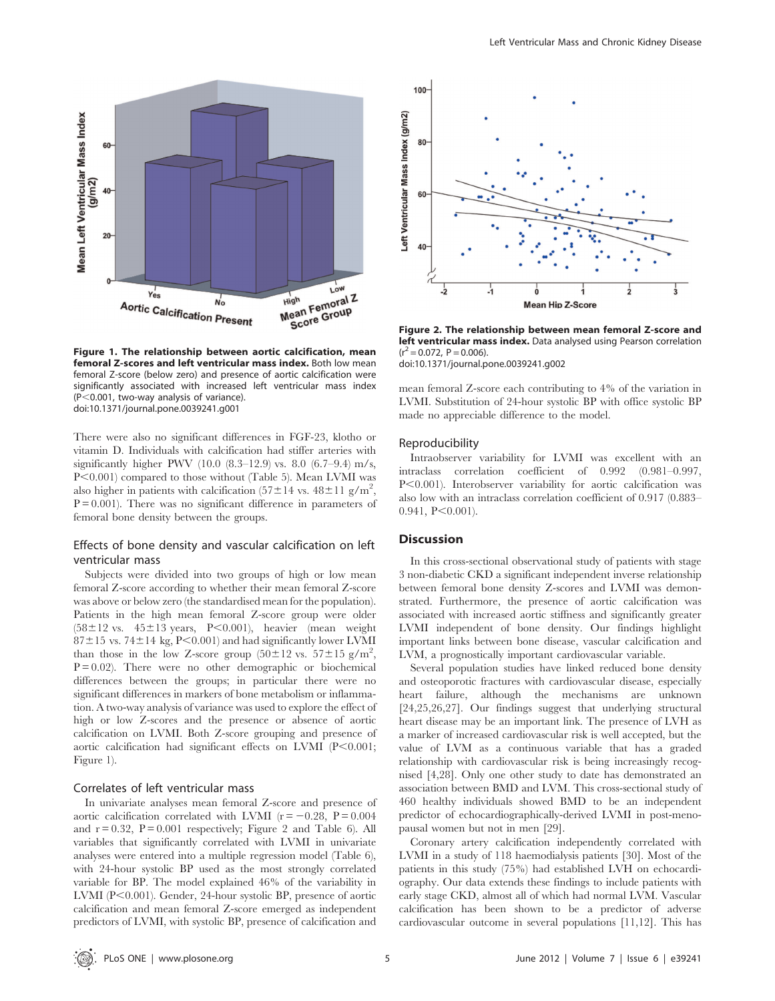

Figure 1. The relationship between aortic calcification, mean femoral Z-scores and left ventricular mass index. Both low mean femoral Z-score (below zero) and presence of aortic calcification were significantly associated with increased left ventricular mass index  $(P<0.001$ , two-way analysis of variance). doi:10.1371/journal.pone.0039241.g001

There were also no significant differences in FGF-23, klotho or vitamin D. Individuals with calcification had stiffer arteries with significantly higher PWV (10.0  $(8.3-12.9)$  vs. 8.0  $(6.7-9.4)$  m/s, P<0.001) compared to those without (Table 5). Mean LVMI was also higher in patients with calcification  $(57 \pm 14 \text{ vs. } 48 \pm 11 \text{ g/m}^2,$  $P = 0.001$ ). There was no significant difference in parameters of femoral bone density between the groups.

# Effects of bone density and vascular calcification on left ventricular mass

Subjects were divided into two groups of high or low mean femoral Z-score according to whether their mean femoral Z-score was above or below zero (the standardised mean for the population). Patients in the high mean femoral Z-score group were older  $(58\pm12 \text{ vs. } 45\pm13 \text{ years}, P<0.001)$ , heavier (mean weight  $87\pm15$  vs. 74 $\pm14$  kg, P $< 0.001$ ) and had significantly lower LVMI than those in the low Z-score group  $(50 \pm 12 \text{ vs. } 57 \pm 15 \text{ g/m}^2,$  $P = 0.02$ . There were no other demographic or biochemical differences between the groups; in particular there were no significant differences in markers of bone metabolism or inflammation. A two-way analysis of variance was used to explore the effect of high or low Z-scores and the presence or absence of aortic calcification on LVMI. Both Z-score grouping and presence of aortic calcification had significant effects on LVMI  $(P<0.001;$ Figure 1).

## Correlates of left ventricular mass

In univariate analyses mean femoral Z-score and presence of aortic calcification correlated with LVMI ( $r = -0.28$ ,  $P = 0.004$ and  $r = 0.32$ ,  $P = 0.001$  respectively; Figure 2 and Table 6). All variables that significantly correlated with LVMI in univariate analyses were entered into a multiple regression model (Table 6), with 24-hour systolic BP used as the most strongly correlated variable for BP. The model explained 46% of the variability in LVMI ( $P<0.001$ ). Gender, 24-hour systolic BP, presence of aortic calcification and mean femoral Z-score emerged as independent predictors of LVMI, with systolic BP, presence of calcification and



Figure 2. The relationship between mean femoral Z-score and left ventricular mass index. Data analysed using Pearson correlation  $(r^2 = 0.072, P = 0.006).$ 

doi:10.1371/journal.pone.0039241.g002

mean femoral Z-score each contributing to 4% of the variation in LVMI. Substitution of 24-hour systolic BP with office systolic BP made no appreciable difference to the model.

#### Reproducibility

Intraobserver variability for LVMI was excellent with an intraclass correlation coefficient of 0.992 (0.981–0.997, P<0.001). Interobserver variability for aortic calcification was also low with an intraclass correlation coefficient of 0.917 (0.883–  $0.941, P \leq 0.001$ .

#### **Discussion**

In this cross-sectional observational study of patients with stage 3 non-diabetic CKD a significant independent inverse relationship between femoral bone density Z-scores and LVMI was demonstrated. Furthermore, the presence of aortic calcification was associated with increased aortic stiffness and significantly greater LVMI independent of bone density. Our findings highlight important links between bone disease, vascular calcification and LVM, a prognostically important cardiovascular variable.

Several population studies have linked reduced bone density and osteoporotic fractures with cardiovascular disease, especially heart failure, although the mechanisms are unknown [24,25,26,27]. Our findings suggest that underlying structural heart disease may be an important link. The presence of LVH as a marker of increased cardiovascular risk is well accepted, but the value of LVM as a continuous variable that has a graded relationship with cardiovascular risk is being increasingly recognised [4,28]. Only one other study to date has demonstrated an association between BMD and LVM. This cross-sectional study of 460 healthy individuals showed BMD to be an independent predictor of echocardiographically-derived LVMI in post-menopausal women but not in men [29].

Coronary artery calcification independently correlated with LVMI in a study of 118 haemodialysis patients [30]. Most of the patients in this study (75%) had established LVH on echocardiography. Our data extends these findings to include patients with early stage CKD, almost all of which had normal LVM. Vascular calcification has been shown to be a predictor of adverse cardiovascular outcome in several populations [11,12]. This has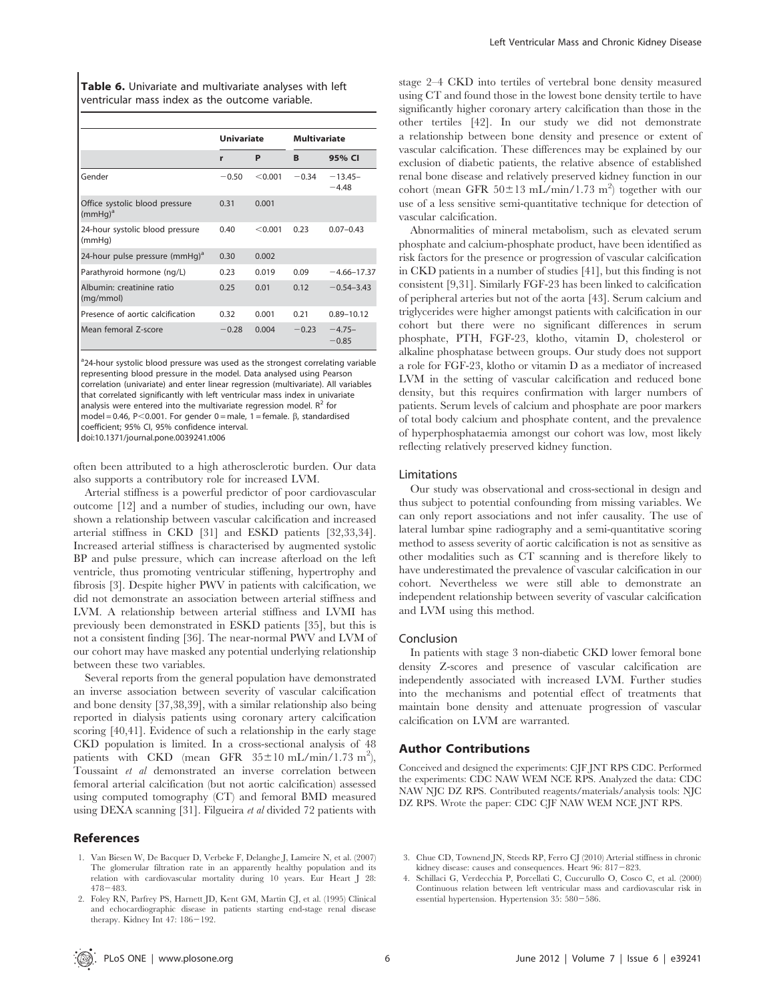Table 6. Univariate and multivariate analyses with left ventricular mass index as the outcome variable.

|                                              | <b>Univariate</b> |         | <b>Multivariate</b> |                      |
|----------------------------------------------|-------------------|---------|---------------------|----------------------|
|                                              | r                 | P       | B                   | 95% CI               |
| Gender                                       | $-0.50$           | < 0.001 | $-0.34$             | $-13.45-$<br>$-4.48$ |
| Office systolic blood pressure<br>$(mmHq)^a$ | 0.31              | 0.001   |                     |                      |
| 24-hour systolic blood pressure<br>(mmHq)    | 0.40              | < 0.001 | 0.23                | $0.07 - 0.43$        |
| 24-hour pulse pressure (mmHg) <sup>a</sup>   | 0.30              | 0.002   |                     |                      |
| Parathyroid hormone (ng/L)                   | 0.23              | 0.019   | 0.09                | $-4.66 - 17.37$      |
| Albumin: creatinine ratio<br>(mg/mmol)       | 0.25              | 0.01    | 0.12                | $-0.54 - 3.43$       |
| Presence of aortic calcification             | 0.32              | 0.001   | 0.21                | $0.89 - 10.12$       |
| Mean femoral Z-score                         | $-0.28$           | 0.004   | $-0.23$             | $-4.75-$<br>$-0.85$  |

<sup>a</sup>24-hour systolic blood pressure was used as the strongest correlating variable representing blood pressure in the model. Data analysed using Pearson correlation (univariate) and enter linear regression (multivariate). All variables that correlated significantly with left ventricular mass index in univariate analysis were entered into the multivariate regression model.  $R^2$  for model = 0.46, P<0.001. For gender 0 = male, 1 = female.  $\beta$ , standardised coefficient; 95% CI, 95% confidence interval. doi:10.1371/journal.pone.0039241.t006

often been attributed to a high atherosclerotic burden. Our data also supports a contributory role for increased LVM.

Arterial stiffness is a powerful predictor of poor cardiovascular outcome [12] and a number of studies, including our own, have shown a relationship between vascular calcification and increased arterial stiffness in CKD [31] and ESKD patients [32,33,34]. Increased arterial stiffness is characterised by augmented systolic BP and pulse pressure, which can increase afterload on the left ventricle, thus promoting ventricular stiffening, hypertrophy and fibrosis [3]. Despite higher PWV in patients with calcification, we did not demonstrate an association between arterial stiffness and LVM. A relationship between arterial stiffness and LVMI has previously been demonstrated in ESKD patients [35], but this is not a consistent finding [36]. The near-normal PWV and LVM of our cohort may have masked any potential underlying relationship between these two variables.

Several reports from the general population have demonstrated an inverse association between severity of vascular calcification and bone density [37,38,39], with a similar relationship also being reported in dialysis patients using coronary artery calcification scoring [40,41]. Evidence of such a relationship in the early stage CKD population is limited. In a cross-sectional analysis of 48 patients with CKD (mean GFR  $35 \pm 10$  mL/min/1.73 m<sup>2</sup>), Toussaint et al demonstrated an inverse correlation between femoral arterial calcification (but not aortic calcification) assessed using computed tomography (CT) and femoral BMD measured using DEXA scanning [31]. Filgueira et al divided 72 patients with

## References

- 1. Van Biesen W, De Bacquer D, Verbeke F, Delanghe J, Lameire N, et al. (2007) The glomerular filtration rate in an apparently healthy population and its relation with cardiovascular mortality during 10 years. Eur Heart J 28:  $478 - 483$
- 2. Foley RN, Parfrey PS, Harnett JD, Kent GM, Martin CJ, et al. (1995) Clinical and echocardiographic disease in patients starting end-stage renal disease therapy. Kidney Int  $47:186-192$ .

stage 2–4 CKD into tertiles of vertebral bone density measured using CT and found those in the lowest bone density tertile to have significantly higher coronary artery calcification than those in the other tertiles [42]. In our study we did not demonstrate a relationship between bone density and presence or extent of vascular calcification. These differences may be explained by our exclusion of diabetic patients, the relative absence of established renal bone disease and relatively preserved kidney function in our cohort (mean GFR  $50\pm13$  mL/min/1.73 m<sup>2</sup>) together with our use of a less sensitive semi-quantitative technique for detection of vascular calcification.

Abnormalities of mineral metabolism, such as elevated serum phosphate and calcium-phosphate product, have been identified as risk factors for the presence or progression of vascular calcification in CKD patients in a number of studies [41], but this finding is not consistent [9,31]. Similarly FGF-23 has been linked to calcification of peripheral arteries but not of the aorta [43]. Serum calcium and triglycerides were higher amongst patients with calcification in our cohort but there were no significant differences in serum phosphate, PTH, FGF-23, klotho, vitamin D, cholesterol or alkaline phosphatase between groups. Our study does not support a role for FGF-23, klotho or vitamin D as a mediator of increased LVM in the setting of vascular calcification and reduced bone density, but this requires confirmation with larger numbers of patients. Serum levels of calcium and phosphate are poor markers of total body calcium and phosphate content, and the prevalence of hyperphosphataemia amongst our cohort was low, most likely reflecting relatively preserved kidney function.

#### Limitations

Our study was observational and cross-sectional in design and thus subject to potential confounding from missing variables. We can only report associations and not infer causality. The use of lateral lumbar spine radiography and a semi-quantitative scoring method to assess severity of aortic calcification is not as sensitive as other modalities such as CT scanning and is therefore likely to have underestimated the prevalence of vascular calcification in our cohort. Nevertheless we were still able to demonstrate an independent relationship between severity of vascular calcification and LVM using this method.

#### Conclusion

In patients with stage 3 non-diabetic CKD lower femoral bone density Z-scores and presence of vascular calcification are independently associated with increased LVM. Further studies into the mechanisms and potential effect of treatments that maintain bone density and attenuate progression of vascular calcification on LVM are warranted.

#### Author Contributions

Conceived and designed the experiments: CJF JNT RPS CDC. Performed the experiments: CDC NAW WEM NCE RPS. Analyzed the data: CDC NAW NJC DZ RPS. Contributed reagents/materials/analysis tools: NJC DZ RPS. Wrote the paper: CDC CJF NAW WEM NCE JNT RPS.

- 3. Chue CD, Townend JN, Steeds RP, Ferro CJ (2010) Arterial stiffness in chronic kidney disease: causes and consequences. Heart  $96: 817-823$ .
- 4. Schillaci G, Verdecchia P, Porcellati C, Cuccurullo O, Cosco C, et al. (2000) Continuous relation between left ventricular mass and cardiovascular risk in essential hypertension. Hypertension  $35:580-586$ .